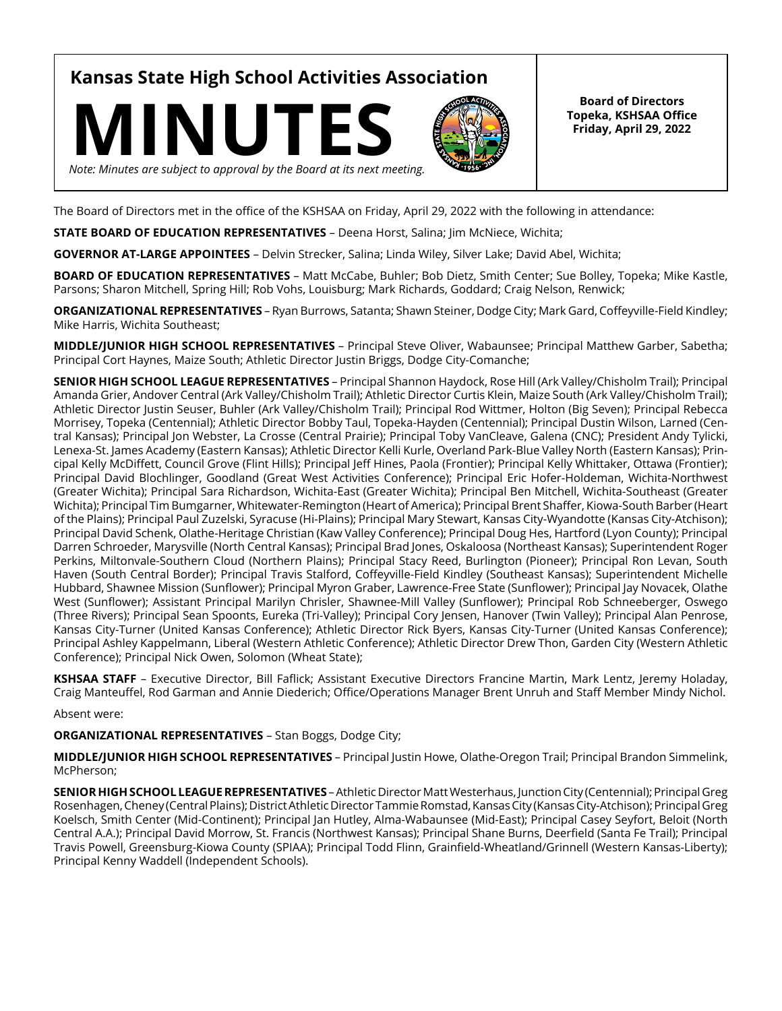**Kansas State High School Activities Association**





**Board of Directors Topeka, KSHSAA Office Friday, April 29, 2022**

The Board of Directors met in the office of the KSHSAA on Friday, April 29, 2022 with the following in attendance:

**STATE BOARD OF EDUCATION REPRESENTATIVES** – Deena Horst, Salina; Jim McNiece, Wichita;

**GOVERNOR AT-LARGE APPOINTEES** – Delvin Strecker, Salina; Linda Wiley, Silver Lake; David Abel, Wichita;

**BOARD OF EDUCATION REPRESENTATIVES** – Matt McCabe, Buhler; Bob Dietz, Smith Center; Sue Bolley, Topeka; Mike Kastle, Parsons; Sharon Mitchell, Spring Hill; Rob Vohs, Louisburg; Mark Richards, Goddard; Craig Nelson, Renwick;

**ORGANIZATIONAL REPRESENTATIVES** – Ryan Burrows, Satanta; Shawn Steiner, Dodge City; Mark Gard, Coffeyville-Field Kindley; Mike Harris, Wichita Southeast;

**MIDDLE/JUNIOR HIGH SCHOOL REPRESENTATIVES** – Principal Steve Oliver, Wabaunsee; Principal Matthew Garber, Sabetha; Principal Cort Haynes, Maize South; Athletic Director Justin Briggs, Dodge City-Comanche;

**SENIOR HIGH SCHOOL LEAGUE REPRESENTATIVES** – Principal Shannon Haydock, Rose Hill (Ark Valley/Chisholm Trail); Principal Amanda Grier, Andover Central (Ark Valley/Chisholm Trail); Athletic Director Curtis Klein, Maize South (Ark Valley/Chisholm Trail); Athletic Director Justin Seuser, Buhler (Ark Valley/Chisholm Trail); Principal Rod Wittmer, Holton (Big Seven); Principal Rebecca Morrisey, Topeka (Centennial); Athletic Director Bobby Taul, Topeka-Hayden (Centennial); Principal Dustin Wilson, Larned (Central Kansas); Principal Jon Webster, La Crosse (Central Prairie); Principal Toby VanCleave, Galena (CNC); President Andy Tylicki, Lenexa-St. James Academy (Eastern Kansas); Athletic Director Kelli Kurle, Overland Park-Blue Valley North (Eastern Kansas); Principal Kelly McDiffett, Council Grove (Flint Hills); Principal Jeff Hines, Paola (Frontier); Principal Kelly Whittaker, Ottawa (Frontier); Principal David Blochlinger, Goodland (Great West Activities Conference); Principal Eric Hofer-Holdeman, Wichita-Northwest (Greater Wichita); Principal Sara Richardson, Wichita-East (Greater Wichita); Principal Ben Mitchell, Wichita-Southeast (Greater Wichita); Principal Tim Bumgarner, Whitewater-Remington (Heart of America); Principal Brent Shaffer, Kiowa-South Barber (Heart of the Plains); Principal Paul Zuzelski, Syracuse (Hi-Plains); Principal Mary Stewart, Kansas City-Wyandotte (Kansas City-Atchison); Principal David Schenk, Olathe-Heritage Christian (Kaw Valley Conference); Principal Doug Hes, Hartford (Lyon County); Principal Darren Schroeder, Marysville (North Central Kansas); Principal Brad Jones, Oskaloosa (Northeast Kansas); Superintendent Roger Perkins, Miltonvale-Southern Cloud (Northern Plains); Principal Stacy Reed, Burlington (Pioneer); Principal Ron Levan, South Haven (South Central Border); Principal Travis Stalford, Coffeyville-Field Kindley (Southeast Kansas); Superintendent Michelle Hubbard, Shawnee Mission (Sunflower); Principal Myron Graber, Lawrence-Free State (Sunflower); Principal Jay Novacek, Olathe West (Sunflower); Assistant Principal Marilyn Chrisler, Shawnee-Mill Valley (Sunflower); Principal Rob Schneeberger, Oswego (Three Rivers); Principal Sean Spoonts, Eureka (Tri-Valley); Principal Cory Jensen, Hanover (Twin Valley); Principal Alan Penrose, Kansas City-Turner (United Kansas Conference); Athletic Director Rick Byers, Kansas City-Turner (United Kansas Conference); Principal Ashley Kappelmann, Liberal (Western Athletic Conference); Athletic Director Drew Thon, Garden City (Western Athletic Conference); Principal Nick Owen, Solomon (Wheat State);

**KSHSAA STAFF** – Executive Director, Bill Faflick; Assistant Executive Directors Francine Martin, Mark Lentz, Jeremy Holaday, Craig Manteuffel, Rod Garman and Annie Diederich; Office/Operations Manager Brent Unruh and Staff Member Mindy Nichol.

Absent were:

**ORGANIZATIONAL REPRESENTATIVES** – Stan Boggs, Dodge City;

**MIDDLE/JUNIOR HIGH SCHOOL REPRESENTATIVES** – Principal Justin Howe, Olathe-Oregon Trail; Principal Brandon Simmelink, McPherson;

**SENIOR HIGH SCHOOL LEAGUE REPRESENTATIVES** – Athletic Director Matt Westerhaus, Junction City (Centennial); Principal Greg Rosenhagen, Cheney (Central Plains); District Athletic Director Tammie Romstad, Kansas City (Kansas City-Atchison); Principal Greg Koelsch, Smith Center (Mid-Continent); Principal Jan Hutley, Alma-Wabaunsee (Mid-East); Principal Casey Seyfort, Beloit (North Central A.A.); Principal David Morrow, St. Francis (Northwest Kansas); Principal Shane Burns, Deerfield (Santa Fe Trail); Principal Travis Powell, Greensburg-Kiowa County (SPIAA); Principal Todd Flinn, Grainfield-Wheatland/Grinnell (Western Kansas-Liberty); Principal Kenny Waddell (Independent Schools).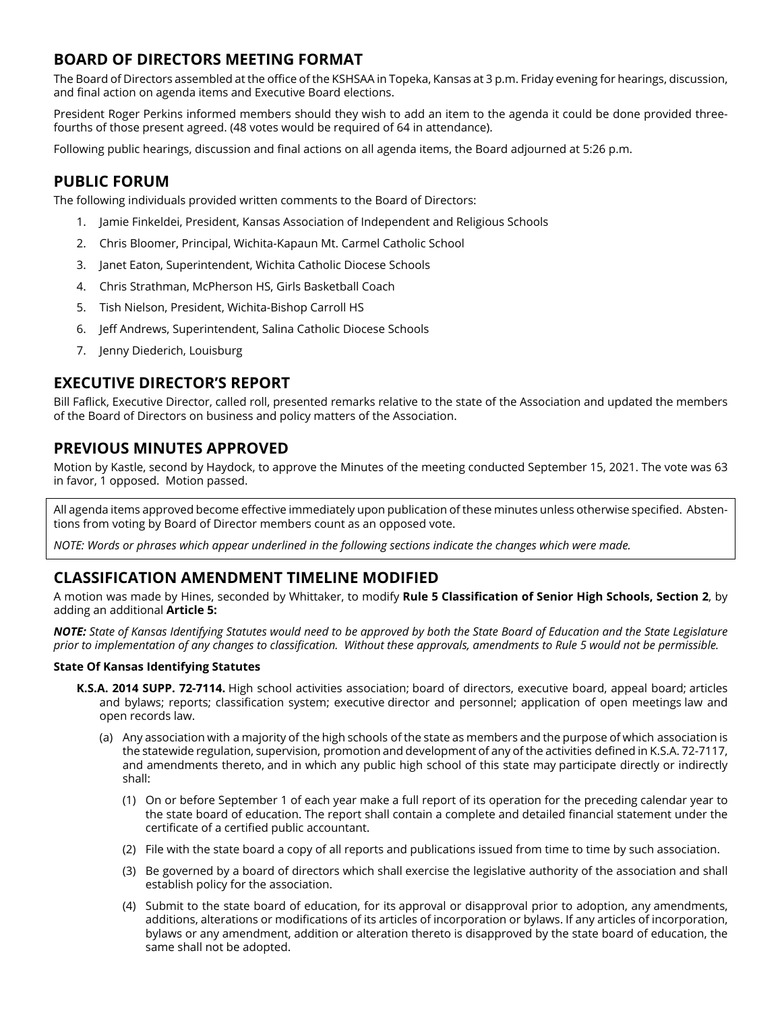# **BOARD OF DIRECTORS MEETING FORMAT**

The Board of Directors assembled at the office of the KSHSAA in Topeka, Kansas at 3 p.m. Friday evening for hearings, discussion, and final action on agenda items and Executive Board elections.

President Roger Perkins informed members should they wish to add an item to the agenda it could be done provided threefourths of those present agreed. (48 votes would be required of 64 in attendance).

Following public hearings, discussion and final actions on all agenda items, the Board adjourned at 5:26 p.m.

## **PUBLIC FORUM**

The following individuals provided written comments to the Board of Directors:

- 1. Jamie Finkeldei, President, Kansas Association of Independent and Religious Schools
- 2. Chris Bloomer, Principal, Wichita-Kapaun Mt. Carmel Catholic School
- 3. Janet Eaton, Superintendent, Wichita Catholic Diocese Schools
- 4. Chris Strathman, McPherson HS, Girls Basketball Coach
- 5. Tish Nielson, President, Wichita-Bishop Carroll HS
- 6. Jeff Andrews, Superintendent, Salina Catholic Diocese Schools
- 7. Jenny Diederich, Louisburg

### **EXECUTIVE DIRECTOR'S REPORT**

Bill Faflick, Executive Director, called roll, presented remarks relative to the state of the Association and updated the members of the Board of Directors on business and policy matters of the Association.

## **PREVIOUS MINUTES APPROVED**

Motion by Kastle, second by Haydock, to approve the Minutes of the meeting conducted September 15, 2021. The vote was 63 in favor, 1 opposed. Motion passed.

All agenda items approved become effective immediately upon publication of these minutes unless otherwise specified. Abstentions from voting by Board of Director members count as an opposed vote.

*NOTE: Words or phrases which appear underlined in the following sections indicate the changes which were made.* 

## **CLASSIFICATION AMENDMENT TIMELINE MODIFIED**

A motion was made by Hines, seconded by Whittaker, to modify **Rule 5 Classification of Senior High Schools, Section 2**, by adding an additional **Article 5:**

*NOTE: State of Kansas Identifying Statutes would need to be approved by both the State Board of Education and the State Legislature prior to implementation of any changes to classification. Without these approvals, amendments to Rule 5 would not be permissible.* 

### **State Of Kansas Identifying Statutes**

- **K.S.A. 2014 SUPP. 72-7114.** High school activities association; board of directors, executive board, appeal board; articles and bylaws; reports; classification system; executive director and personnel; application of open meetings law and open records law.
	- (a) Any association with a majority of the high schools of the state as members and the purpose of which association is the statewide regulation, supervision, promotion and development of any of the activities defined in K.S.A. 72-7117, and amendments thereto, and in which any public high school of this state may participate directly or indirectly shall:
		- (1) On or before September 1 of each year make a full report of its operation for the preceding calendar year to the state board of education. The report shall contain a complete and detailed financial statement under the certificate of a certified public accountant.
		- (2) File with the state board a copy of all reports and publications issued from time to time by such association.
		- (3) Be governed by a board of directors which shall exercise the legislative authority of the association and shall establish policy for the association.
		- (4) Submit to the state board of education, for its approval or disapproval prior to adoption, any amendments, additions, alterations or modifications of its articles of incorporation or bylaws. If any articles of incorporation, bylaws or any amendment, addition or alteration thereto is disapproved by the state board of education, the same shall not be adopted.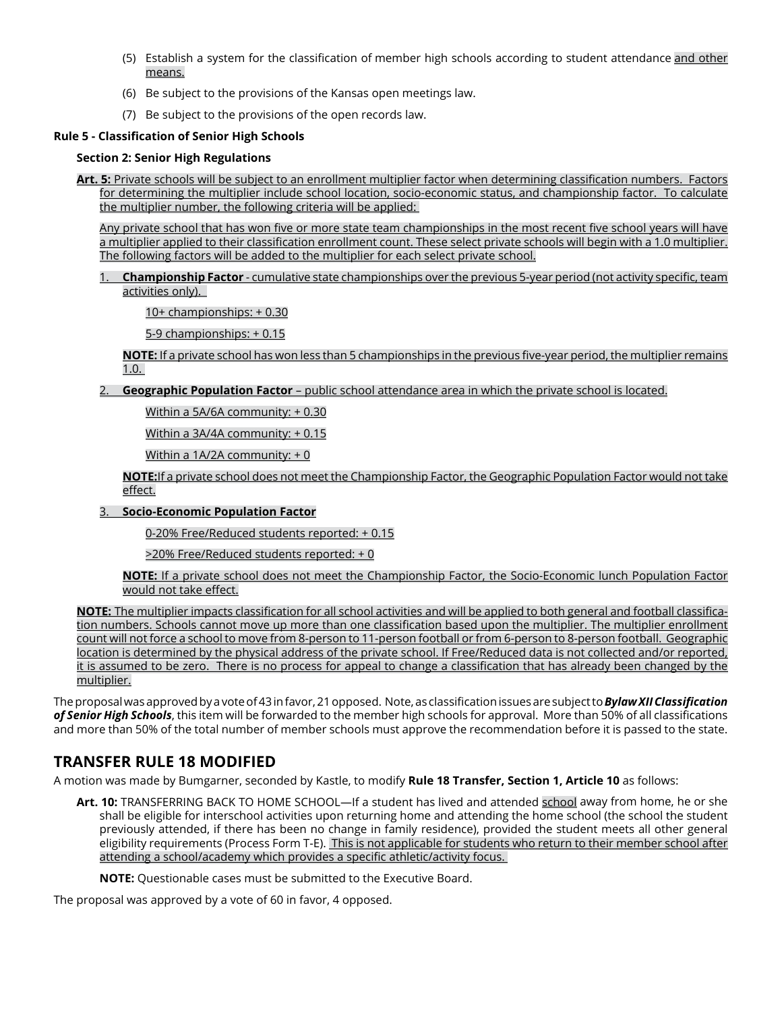- (5) Establish a system for the classification of member high schools according to student attendance and other means.
- (6) Be subject to the provisions of the Kansas open meetings law.
- (7) Be subject to the provisions of the open records law.

### **Rule 5 - Classification of Senior High Schools**

#### **Section 2: Senior High Regulations**

**Art. 5:** Private schools will be subject to an enrollment multiplier factor when determining classification numbers. Factors for determining the multiplier include school location, socio-economic status, and championship factor. To calculate the multiplier number, the following criteria will be applied:

Any private school that has won five or more state team championships in the most recent five school years will have a multiplier applied to their classification enrollment count. These select private schools will begin with a 1.0 multiplier. The following factors will be added to the multiplier for each select private school.

#### 1. **Championship Factor** - cumulative state championships over the previous 5-year period (not activity specific, team activities only).

10+ championships: + 0.30

5-9 championships: + 0.15

**NOTE:** If a private school has won less than 5 championships in the previous five-year period, the multiplier remains 1.0.

2. **Geographic Population Factor** – public school attendance area in which the private school is located.

Within a 5A/6A community: + 0.30

Within a 3A/4A community: + 0.15

Within a 1A/2A community: + 0

### **NOTE:**If a private school does not meet the Championship Factor, the Geographic Population Factor would not take effect.

### 3. **Socio-Economic Population Factor**

0-20% Free/Reduced students reported: + 0.15

>20% Free/Reduced students reported: + 0

**NOTE:** If a private school does not meet the Championship Factor, the Socio-Economic lunch Population Factor would not take effect.

**NOTE:** The multiplier impacts classification for all school activities and will be applied to both general and football classification numbers. Schools cannot move up more than one classification based upon the multiplier. The multiplier enrollment count will not force a school to move from 8-person to 11-person football or from 6-person to 8-person football. Geographic location is determined by the physical address of the private school. If Free/Reduced data is not collected and/or reported, it is assumed to be zero. There is no process for appeal to change a classification that has already been changed by the multiplier.

The proposal was approved by a vote of 43 in favor, 21 opposed. Note, as classification issues are subject to *Bylaw XII Classification of Senior High Schools*, this item will be forwarded to the member high schools for approval. More than 50% of all classifications and more than 50% of the total number of member schools must approve the recommendation before it is passed to the state.

## **TRANSFER RULE 18 MODIFIED**

A motion was made by Bumgarner, seconded by Kastle, to modify **Rule 18 Transfer, Section 1, Article 10** as follows:

**Art. 10:** TRANSFERRING BACK TO HOME SCHOOL—If a student has lived and attended school away from home, he or she shall be eligible for interschool activities upon returning home and attending the home school (the school the student previously attended, if there has been no change in family residence), provided the student meets all other general eligibility requirements (Process Form T-E). This is not applicable for students who return to their member school after attending a school/academy which provides a specific athletic/activity focus.

**NOTE:** Questionable cases must be submitted to the Executive Board.

The proposal was approved by a vote of 60 in favor, 4 opposed.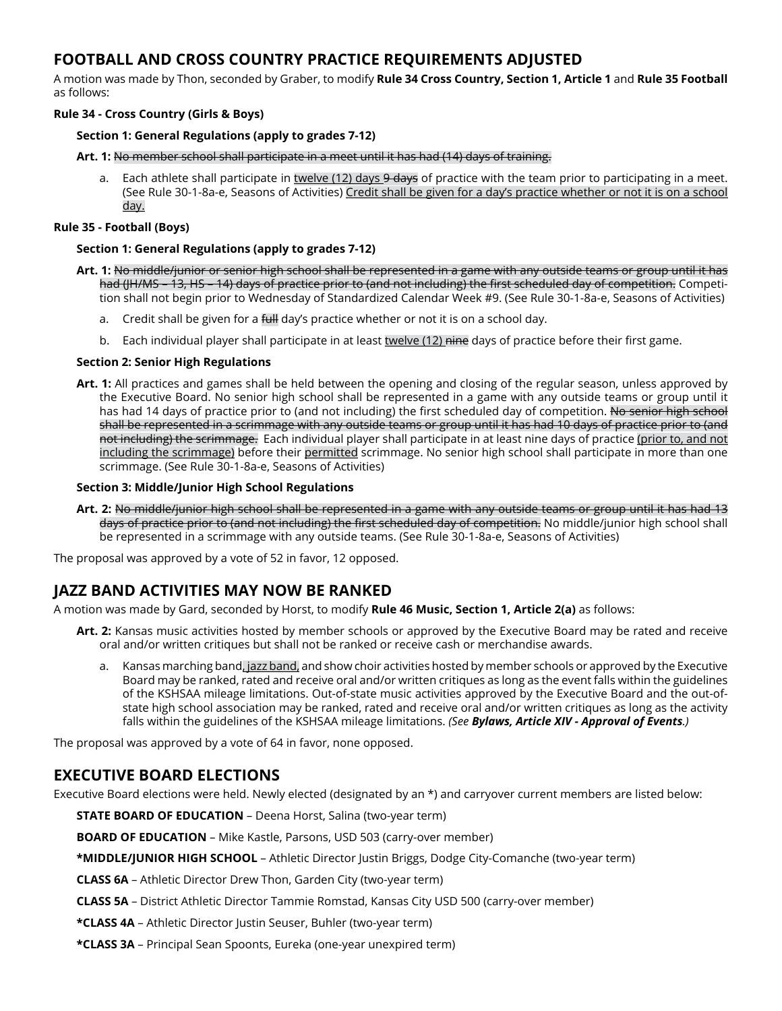## **FOOTBALL AND CROSS COUNTRY PRACTICE REQUIREMENTS ADJUSTED**

A motion was made by Thon, seconded by Graber, to modify **Rule 34 Cross Country, Section 1, Article 1** and **Rule 35 Football**  as follows:

### **Rule 34 - Cross Country (Girls & Boys)**

### **Section 1: General Regulations (apply to grades 7-12)**

**Art. 1:** No member school shall participate in a meet until it has had (14) days of training.

a. Each athlete shall participate in twelve  $(12)$  days  $9$  days of practice with the team prior to participating in a meet. (See Rule 30-1-8a-e, Seasons of Activities) Credit shall be given for a day's practice whether or not it is on a school day.

#### **Rule 35 - Football (Boys)**

#### **Section 1: General Regulations (apply to grades 7-12)**

- **Art. 1:** No middle/junior or senior high school shall be represented in a game with any outside teams or group until it has had (JH/MS – 13, HS – 14) days of practice prior to (and not including) the first scheduled day of competition. Competition shall not begin prior to Wednesday of Standardized Calendar Week #9. (See Rule 30-1-8a-e, Seasons of Activities)
	- a. Credit shall be given for a full day's practice whether or not it is on a school day.
	- b. Each individual player shall participate in at least twelve (12) nine days of practice before their first game.

### **Section 2: Senior High Regulations**

**Art. 1:** All practices and games shall be held between the opening and closing of the regular season, unless approved by the Executive Board. No senior high school shall be represented in a game with any outside teams or group until it has had 14 days of practice prior to (and not including) the first scheduled day of competition. No senior high school shall be represented in a scrimmage with any outside teams or group until it has had 10 days of practice prior to (and not including) the scrimmage. Each individual player shall participate in at least nine days of practice (prior to, and not including the scrimmage) before their permitted scrimmage. No senior high school shall participate in more than one scrimmage. (See Rule 30-1-8a-e, Seasons of Activities)

#### **Section 3: Middle/Junior High School Regulations**

**Art. 2:** No middle/junior high school shall be represented in a game with any outside teams or group until it has had 13 days of practice prior to (and not including) the first scheduled day of competition. No middle/junior high school shall be represented in a scrimmage with any outside teams. (See Rule 30-1-8a-e, Seasons of Activities)

The proposal was approved by a vote of 52 in favor, 12 opposed.

### **JAZZ BAND ACTIVITIES MAY NOW BE RANKED**

A motion was made by Gard, seconded by Horst, to modify **Rule 46 Music, Section 1, Article 2(a)** as follows:

- **Art. 2:** Kansas music activities hosted by member schools or approved by the Executive Board may be rated and receive oral and/or written critiques but shall not be ranked or receive cash or merchandise awards.
	- a. Kansas marching band, jazz band, and show choir activities hosted by member schools or approved by the Executive Board may be ranked, rated and receive oral and/or written critiques as long as the event falls within the guidelines of the KSHSAA mileage limitations. Out-of-state music activities approved by the Executive Board and the out-ofstate high school association may be ranked, rated and receive oral and/or written critiques as long as the activity falls within the guidelines of the KSHSAA mileage limitations. *(See Bylaws, Article XIV - Approval of Events.)*

The proposal was approved by a vote of 64 in favor, none opposed.

## **EXECUTIVE BOARD ELECTIONS**

Executive Board elections were held. Newly elected (designated by an \*) and carryover current members are listed below:

**STATE BOARD OF EDUCATION** – Deena Horst, Salina (two-year term)

**BOARD OF EDUCATION** – Mike Kastle, Parsons, USD 503 (carry-over member)

**\*MIDDLE/JUNIOR HIGH SCHOOL** – Athletic Director Justin Briggs, Dodge City-Comanche (two-year term)

**CLASS 6A** – Athletic Director Drew Thon, Garden City (two-year term)

- **CLASS 5A** District Athletic Director Tammie Romstad, Kansas City USD 500 (carry-over member)
- **\*CLASS 4A** Athletic Director Justin Seuser, Buhler (two-year term)
- **\*CLASS 3A** Principal Sean Spoonts, Eureka (one-year unexpired term)